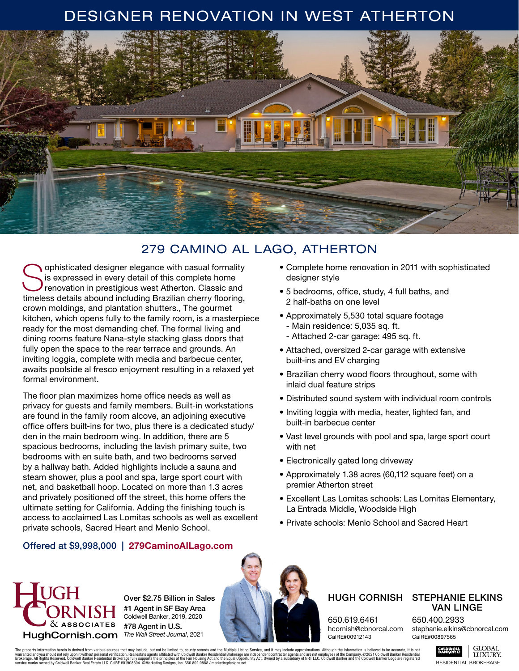## DESIGNER RENOVATION IN WEST ATHERTON



## 279 CAMINO AL LAGO, ATHERTON

Sophisticated designer elegance with casual formality<br>is expressed in every detail of this complete home<br>renovation in prestigious west Atherton. Classic and<br>timeless datails abound including Proviling abount floating is expressed in every detail of this complete home renovation in prestigious west Atherton. Classic and timeless details abound including Brazilian cherry flooring, crown moldings, and plantation shutters., The gourmet kitchen, which opens fully to the family room, is a masterpiece ready for the most demanding chef. The formal living and dining rooms feature Nana-style stacking glass doors that fully open the space to the rear terrace and grounds. An inviting loggia, complete with media and barbecue center, awaits poolside al fresco enjoyment resulting in a relaxed yet formal environment.

The floor plan maximizes home office needs as well as privacy for guests and family members. Built-in workstations are found in the family room alcove, an adjoining executive office offers built-ins for two, plus there is a dedicated study/ den in the main bedroom wing. In addition, there are 5 spacious bedrooms, including the lavish primary suite, two bedrooms with en suite bath, and two bedrooms served by a hallway bath. Added highlights include a sauna and steam shower, plus a pool and spa, large sport court with net, and basketball hoop. Located on more than 1.3 acres and privately positioned off the street, this home offers the ultimate setting for California. Adding the finishing touch is access to acclaimed Las Lomitas schools as well as excellent private schools, Sacred Heart and Menlo School.

#### Offered at \$9,998,000 | 279CaminoAlLago.com

- Complete home renovation in 2011 with sophisticated designer style
- 5 bedrooms, office, study, 4 full baths, and 2 half-baths on one level
- Approximately 5,530 total square footage - Main residence: 5,035 sq. ft.
- Attached 2-car garage: 495 sq. ft.
- Attached, oversized 2-car garage with extensive built-ins and EV charging
- Brazilian cherry wood floors throughout, some with inlaid dual feature strips
- Distributed sound system with individual room controls
- Inviting loggia with media, heater, lighted fan, and built-in barbecue center
- Vast level grounds with pool and spa, large sport court with net
- Electronically gated long driveway
- Approximately 1.38 acres (60,112 square feet) on a premier Atherton street
- Excellent Las Lomitas schools: Las Lomitas Elementary, La Entrada Middle, Woodside High
- Private schools: Menlo School and Sacred Heart



Over \$2.75 Billion in Sales #1 Agent in SF Bay Area Coldwell Banker, 2019, 2020 #78 Agent in U.S.



650.619.6461 hcornish@cbnorcal.com CalRE#00912143

#### HUGH CORNISH STEPHANIE ELKINS VAN LINGE

650.400.2933

stephanie.elkins@cbnorcal.com CalRE#00897565



The property information herein is derived from various sources that may include, but not be limited to, county records and the Multiple Listing Service, and it may include point on the may include to the Company. ©2021 Co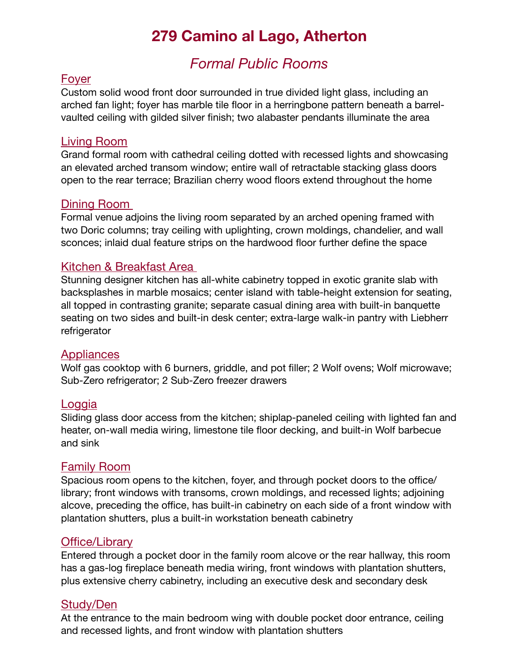# 279 Camino al Lago, Atherton

## *Formal Public Rooms*

#### Foyer

Custom solid wood front door surrounded in true divided light glass, including an arched fan light; foyer has marble tile floor in a herringbone pattern beneath a barrelvaulted ceiling with gilded silver finish; two alabaster pendants illuminate the area

#### Living Room

Grand formal room with cathedral ceiling dotted with recessed lights and showcasing an elevated arched transom window; entire wall of retractable stacking glass doors open to the rear terrace; Brazilian cherry wood floors extend throughout the home

#### Dining Room

Formal venue adjoins the living room separated by an arched opening framed with two Doric columns; tray ceiling with uplighting, crown moldings, chandelier, and wall sconces; inlaid dual feature strips on the hardwood floor further define the space

#### Kitchen & Breakfast Area

Stunning designer kitchen has all-white cabinetry topped in exotic granite slab with backsplashes in marble mosaics; center island with table-height extension for seating, all topped in contrasting granite; separate casual dining area with built-in banquette seating on two sides and built-in desk center; extra-large walk-in pantry with Liebherr refrigerator

#### **Appliances**

Wolf gas cooktop with 6 burners, griddle, and pot filler; 2 Wolf ovens; Wolf microwave; Sub-Zero refrigerator; 2 Sub-Zero freezer drawers

#### Loggia

Sliding glass door access from the kitchen; shiplap-paneled ceiling with lighted fan and heater, on-wall media wiring, limestone tile floor decking, and built-in Wolf barbecue and sink

#### Family Room

Spacious room opens to the kitchen, foyer, and through pocket doors to the office/ library; front windows with transoms, crown moldings, and recessed lights; adjoining alcove, preceding the office, has built-in cabinetry on each side of a front window with plantation shutters, plus a built-in workstation beneath cabinetry

#### Office/Library

Entered through a pocket door in the family room alcove or the rear hallway, this room has a gas-log fireplace beneath media wiring, front windows with plantation shutters, plus extensive cherry cabinetry, including an executive desk and secondary desk

#### Study/Den

At the entrance to the main bedroom wing with double pocket door entrance, ceiling and recessed lights, and front window with plantation shutters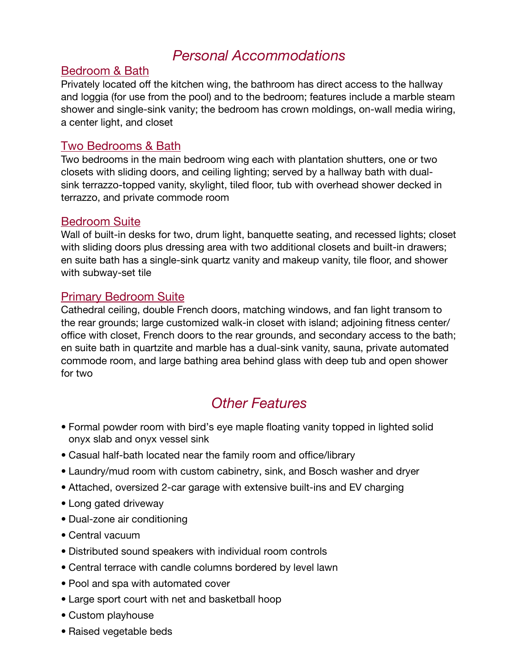## *Personal Accommodations*

## Bedroom & Bath

Privately located off the kitchen wing, the bathroom has direct access to the hallway and loggia (for use from the pool) and to the bedroom; features include a marble steam shower and single-sink vanity; the bedroom has crown moldings, on-wall media wiring, a center light, and closet

## Two Bedrooms & Bath

Two bedrooms in the main bedroom wing each with plantation shutters, one or two closets with sliding doors, and ceiling lighting; served by a hallway bath with dualsink terrazzo-topped vanity, skylight, tiled floor, tub with overhead shower decked in terrazzo, and private commode room

#### Bedroom Suite

Wall of built-in desks for two, drum light, banquette seating, and recessed lights; closet with sliding doors plus dressing area with two additional closets and built-in drawers; en suite bath has a single-sink quartz vanity and makeup vanity, tile floor, and shower with subway-set tile

#### Primary Bedroom Suite

Cathedral ceiling, double French doors, matching windows, and fan light transom to the rear grounds; large customized walk-in closet with island; adjoining fitness center/ office with closet, French doors to the rear grounds, and secondary access to the bath; en suite bath in quartzite and marble has a dual-sink vanity, sauna, private automated commode room, and large bathing area behind glass with deep tub and open shower for two

## *Other Features*

- Formal powder room with bird's eye maple floating vanity topped in lighted solid onyx slab and onyx vessel sink
- Casual half-bath located near the family room and office/library
- Laundry/mud room with custom cabinetry, sink, and Bosch washer and dryer
- Attached, oversized 2-car garage with extensive built-ins and EV charging
- Long gated driveway
- Dual-zone air conditioning
- Central vacuum
- Distributed sound speakers with individual room controls
- Central terrace with candle columns bordered by level lawn
- Pool and spa with automated cover
- Large sport court with net and basketball hoop
- Custom playhouse
- Raised vegetable beds